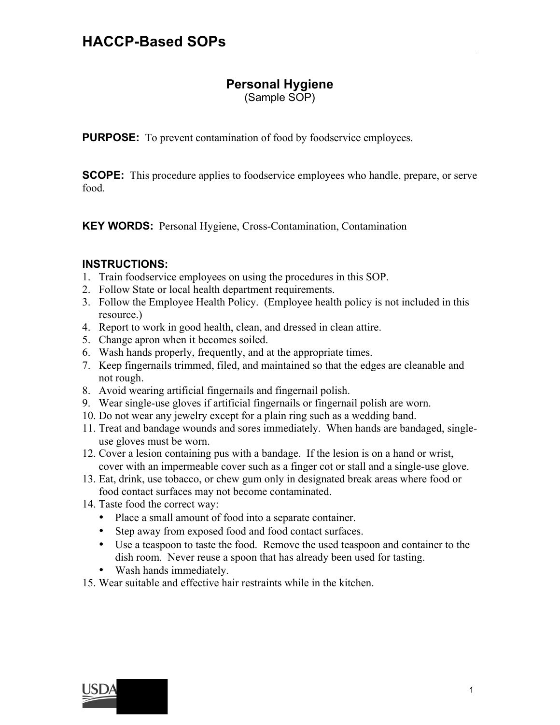# **Personal Hygiene**

(Sample SOP)

**PURPOSE:** To prevent contamination of food by foodservice employees.

**SCOPE:** This procedure applies to foodservice employees who handle, prepare, or serve food.

**KEY WORDS:** Personal Hygiene, Cross-Contamination, Contamination

# **INSTRUCTIONS:**

- 1. Train foodservice employees on using the procedures in this SOP.
- 2. Follow State or local health department requirements.
- 3. Follow the Employee Health Policy. (Employee health policy is not included in this resource.)
- 4. Report to work in good health, clean, and dressed in clean attire.
- 5. Change apron when it becomes soiled.
- 6. Wash hands properly, frequently, and at the appropriate times.
- 7. Keep fingernails trimmed, filed, and maintained so that the edges are cleanable and not rough.
- 8. Avoid wearing artificial fingernails and fingernail polish.
- 9. Wear single-use gloves if artificial fingernails or fingernail polish are worn.
- 10. Do not wear any jewelry except for a plain ring such as a wedding band.
- 11. Treat and bandage wounds and sores immediately. When hands are bandaged, singleuse gloves must be worn.
- 12. Cover a lesion containing pus with a bandage. If the lesion is on a hand or wrist, cover with an impermeable cover such as a finger cot or stall and a single-use glove.
- 13. Eat, drink, use tobacco, or chew gum only in designated break areas where food or food contact surfaces may not become contaminated.
- 14. Taste food the correct way:
	- Place a small amount of food into a separate container.
	- Step away from exposed food and food contact surfaces.
	- Use a teaspoon to taste the food. Remove the used teaspoon and container to the dish room. Never reuse a spoon that has already been used for tasting.
	- Wash hands immediately.
- 15. Wear suitable and effective hair restraints while in the kitchen.